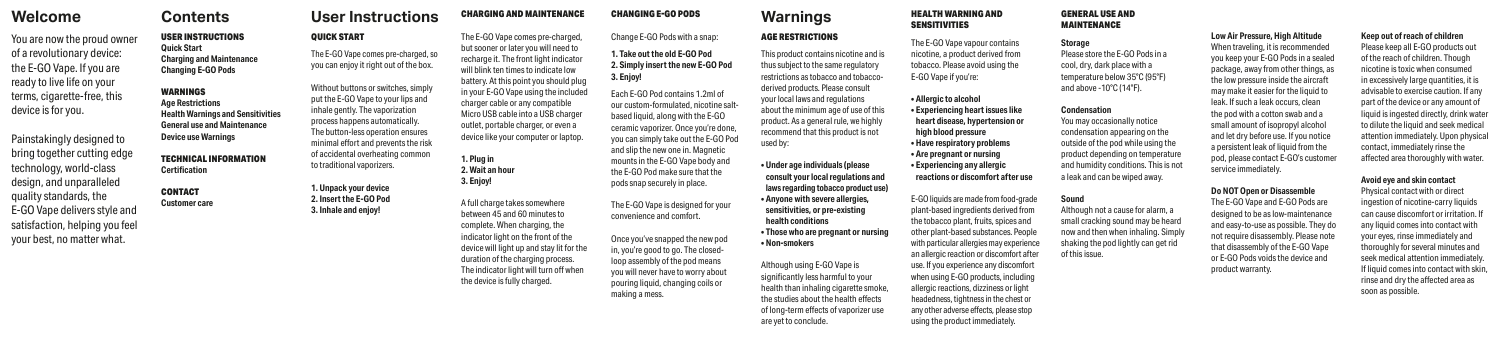# **Warnings**

## AGE RESTRICTIONS

This product contains nicotine and is thus subject to the same regulatory restrictions as tobacco and tobaccoderived products. Please consult your local laws and regulations about the minimum age of use of this product. As a general rule, we highly recommend that this product is not used by:

**• Under age individuals (please consult your local regulations and laws regarding tobacco product use) • Anyone with severe allergies, sensitivities, or pre-existing health conditions • Those who are pregnant or nursing • Non-smokers**

Although using E-GO Vape is significantly less harmful to your health than inhaling cigarette smoke, the studies about the health effects of long-term effects of vaporizer use are yet to conclude.

### HEALTH WARNING AND SENSITIVITIES

The E-GO Vape vapour contains nicotine, a product derived from tobacco. Please avoid using the E-GO Vape if you're:

**• Allergic to alcohol • Experiencing heart issues like heart disease, hypertension or high blood pressure • Have respiratory problems • Are pregnant or nursing • Experiencing any allergic reactions or discomfort after use**

E-GO liquids are made from food-grade plant-based ingredients derived from the tobacco plant, fruits, spices and other plant-based substances. People with particular allergies may experience an allergic reaction or discomfort after use. If you experience any discomfort when using E-GO products, including allergic reactions, dizziness or light headedness, tightness in the chest or any other adverse effects, please stop using the product immediately.

GENERAL USE AND MAINTENANCE **Storage**

Please store the E-GO Pods in a cool, dry, dark place with a temperature below 35°C (95°F) and above -10°C (14°F).

**Condensation**

You may occasionally notice condensation appearing on the outside of the pod while using the product depending on temperature and humidity conditions. This is not

a leak and can be wiped away. **Sound** Although not a cause for alarm, a small cracking sound may be heard

now and then when inhaling. Simply shaking the pod lightly can get rid

of this issue.

# **Welcome**

You are now the proud owner of a revolutionary device: the E-GO Vape. If you are ready to live life on your terms, cigarette-free, this device is for you.

Painstakingly designed to bring together cutting edge technology, world-class design, and unparalleled quality standards, the E-GO Vape delivers style and satisfaction, helping you feel your best, no matter what.

QUICK START

The E-GO Vape comes pre-charged, so you can enjoy it right out of the box.

Without buttons or switches, simply put the E-GO Vape to your lips and inhale gently. The vaporization process happens automatically. The button-less operation ensures minimal effort and prevents the risk of accidental overheating common

> to traditional vaporizers. **1. Unpack your device 2. Insert the E-GO Pod 3. Inhale and enjoy!**

## **Contents**

USER INSTRUCTIONS **Quick Start Charging and Maintenance Changing E-GO Pods** 

## WARNINGS **Age Restrictions Health Warnings and Sensitivities General use and Maintenance Device use Warnings**

TECHNICAL INFORMATION **Certification**

### CONTACT **Customer care**

#### **User Instructions** CHARGING AND MAINTENANCE

# CHANGING E-GO PODS Change E-GO Pods with a snap:

**1. Take out the old E-GO Pod 2. Simply insert the new E-GO Pod 3. Enjoy!** 

Each E-GO Pod contains 1.2ml of our custom-formulated, nicotine saltbased liquid, along with the E-GO ceramic vaporizer. Once you're done, you can simply take out the E-GO Pod and slip the new one in. Magnetic mounts in the E-GO Vape body and the E-GO Pod make sure that the pods snap securely in place.

The E-GO Vape is designed for your convenience and comfort.

Once you've snapped the new pod in, you're good to go. The closedloop assembly of the pod means you will never have to worry about pouring liquid, changing coils or making a mess.

The E-GO Vape comes pre-charged, but sooner or later you will need to recharge it. The front light indicator will blink ten times to indicate low battery. At this point you should plug in your E-GO Vape using the included charger cable or any compatible Micro USB cable into a USB charger outlet, portable charger, or even a device like your computer or laptop.

**1. Plug in 2. Wait an hour 3. Enjoy!**

A full charge takes somewhere between 45 and 60 minutes to complete. When charging, the indicator light on the front of the device will light up and stay lit for the duration of the charging process. The indicator light will turn off when the device is fully charged.

### **Keep out of reach of children**

Please keep all E-GO products out of the reach of children. Though nicotine is toxic when consumed in excessively large quantities, it is advisable to exercise caution. If any part of the device or any amount of liquid is ingested directly, drink water to dilute the liquid and seek medical attention immediately. Upon physical contact, immediately rinse the affected area thoroughly with water.

### **Avoid eye and skin contact**

Physical contact with or direct ingestion of nicotine-carry liquids can cause discomfort or irritation. If any liquid comes into contact with your eyes, rinse immediately and thoroughly for several minutes and seek medical attention immediately. If liquid comes into contact with skin, rinse and dry the affected area as soon as possible.

**Low Air Pressure, High Altitude** When traveling, it is recommended you keep your E-GO Pods in a sealed package, away from other things, as the low pressure inside the aircraft may make it easier for the liquid to leak. If such a leak occurs, clean the pod with a cotton swab and a small amount of isopropyl alcohol and let dry before use. If you notice a persistent leak of liquid from the pod, please contact E-GO's customer service immediately.

### **Do NOT Open or Disassemble**

The E-GO Vape and E-GO Pods are designed to be as low-maintenance and easy-to-use as possible. They do not require disassembly. Please note that disassembly of the E-GO Vape or E-GO Pods voids the device and product warranty.